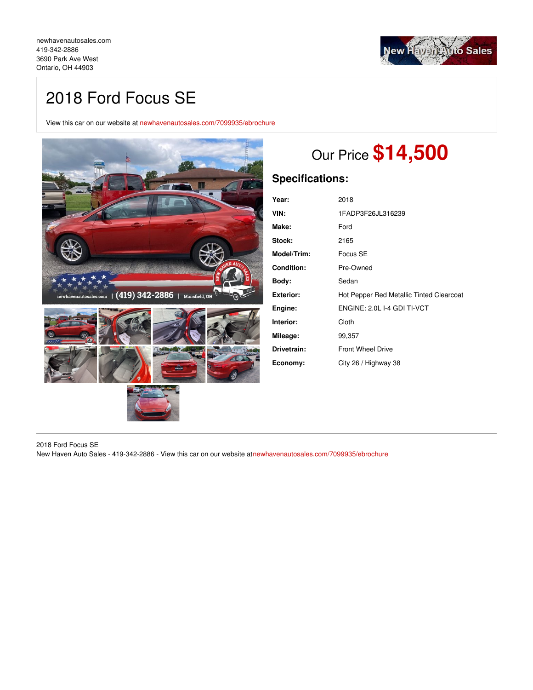

# 2018 Ford Focus SE

View this car on our website at [newhavenautosales.com/7099935/ebrochure](https://newhavenautosales.com/vehicle/7099935/2018-ford-focus-se-ontario-oh-44903/7099935/ebrochure)



# Our Price **\$14,500**

# **Specifications:**

| Year:             | 2018                                     |
|-------------------|------------------------------------------|
| VIN:              | 1FADP3F26JL316239                        |
| Make:             | Ford                                     |
| Stock:            | 2165                                     |
| Model/Trim:       | Focus SE                                 |
| <b>Condition:</b> | Pre-Owned                                |
| Body:             | Sedan                                    |
| <b>Exterior:</b>  | Hot Pepper Red Metallic Tinted Clearcoat |
| Engine:           | ENGINE: 2.0L I-4 GDI TI-VCT              |
| Interior:         | Cloth                                    |
| Mileage:          | 99,357                                   |
| Drivetrain:       | <b>Front Wheel Drive</b>                 |
| Economy:          | City 26 / Highway 38                     |

2018 Ford Focus SE

New Haven Auto Sales - 419-342-2886 - View this car on our website a[tnewhavenautosales.com/7099935/ebrochure](https://newhavenautosales.com/vehicle/7099935/2018-ford-focus-se-ontario-oh-44903/7099935/ebrochure)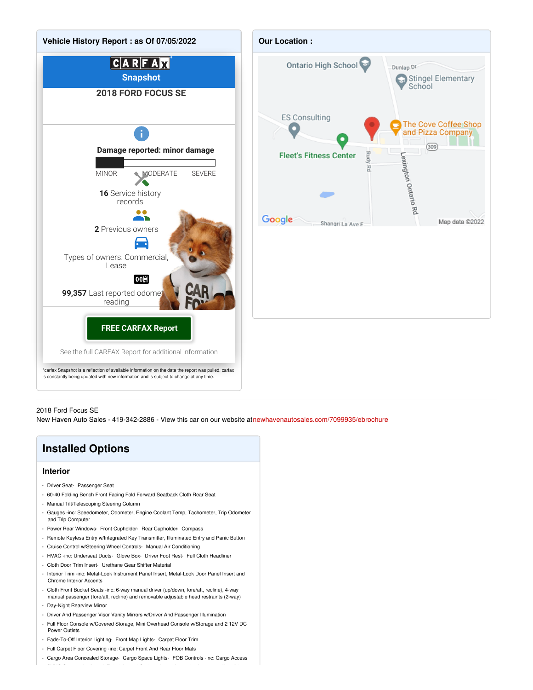



#### 2018 Ford Focus SE

New Haven Auto Sales - 419-342-2886 - View this car on our website a[tnewhavenautosales.com/7099935/ebrochure](https://newhavenautosales.com/vehicle/7099935/2018-ford-focus-se-ontario-oh-44903/7099935/ebrochure)

## **Installed Options Interior** - Driver Seat- Passenger Seat - 60-40 Folding Bench Front Facing Fold Forward Seatback Cloth Rear Seat - Manual Tilt/Telescoping Steering Column - Gauges -inc: Speedometer, Odometer, Engine Coolant Temp, Tachometer, Trip Odometer and Trip Computer - Power Rear Windows- Front Cupholder- Rear Cupholder- Compass - Remote Keyless Entry w/Integrated Key Transmitter, Illuminated Entry and Panic Button - Cruise Control w/Steering Wheel Controls- Manual Air Conditioning - HVAC -inc: Underseat Ducts- Glove Box- Driver Foot Rest- Full Cloth Headliner - Cloth Door Trim Insert- Urethane Gear Shifter Material - Interior Trim -inc: Metal-Look Instrument Panel Insert, Metal-Look Door Panel Insert and Chrome Interior Accents - Cloth Front Bucket Seats -inc: 6-way manual driver (up/down, fore/aft, recline), 4-way manual passenger (fore/aft, recline) and removable adjustable head restraints (2-way) - Day-Night Rearview Mirror - Driver And Passenger Visor Vanity Mirrors w/Driver And Passenger Illumination

- Full Floor Console w/Covered Storage, Mini Overhead Console w/Storage and 2 12V DC Power Outlets
- Fade-To-Off Interior Lighting- Front Map Lights- Carpet Floor Trim
- Full Carpet Floor Covering -inc: Carpet Front And Rear Floor Mats
- Cargo Area Concealed Storage- Cargo Space Lights- FOB Controls -inc: Cargo Access  $S_{\rm{max}}$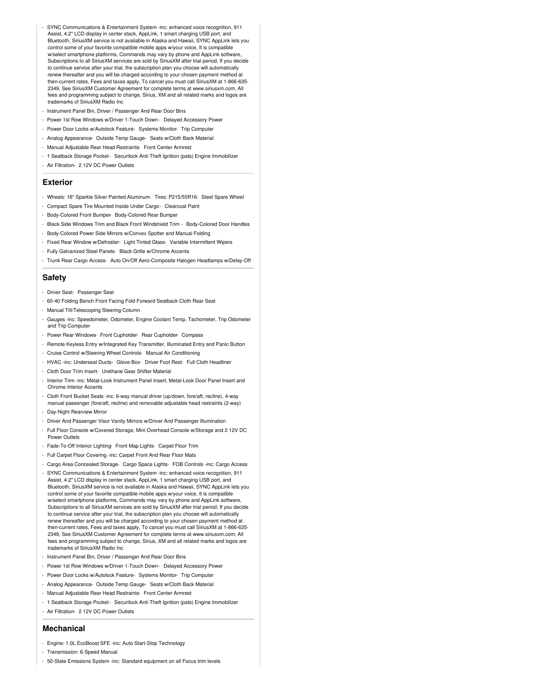- SYNC Communications & Entertainment System -inc: enhanced voice recognition, 911 Assist, 4.2" LCD display in center stack, AppLink, 1 smart charging USB port, and Bluetooth, SiriusXM service is not available in Alaska and Hawaii, SYNC AppLink lets you control some of your favorite compatible mobile apps w/your voice, It is compatible w/select smartphone platforms, Commands may vary by phone and AppLink software, Subscriptions to all SiriusXM services are sold by SiriusXM after trial period, If you decide to continue service after your trial, the subscription plan you choose will automatically renew thereafter and you will be charged according to your chosen payment method at then-current rates, Fees and taxes apply, To cancel you must call SiriusXM at 1-866-635- 2349, See SiriusXM Customer Agreement for complete terms at www.siriusxm.com, All fees and programming subject to change, Sirius, XM and all related marks and logos are trademarks of SiriusXM Radio Inc
- Instrument Panel Bin, Driver / Passenger And Rear Door Bins
- Power 1st Row Windows w/Driver 1-Touch Down Delayed Accessory Power
- Power Door Locks w/Autolock Feature- Systems Monitor- Trip Computer
- Analog Appearance- Outside Temp Gauge- Seats w/Cloth Back Material
- Manual Adjustable Rear Head Restraints- Front Center Armrest
- 1 Seatback Storage Pocket Securilock Anti-Theft Ignition (pats) Engine Immobilizer
- Air Filtration- 2 12V DC Power Outlets

#### **Exterior**

- Wheels: 16" Sparkle Silver Painted Aluminum- Tires: P215/55R16- Steel Spare Wheel
- Compact Spare Tire Mounted Inside Under Cargo- Clearcoat Paint
- Body-Colored Front Bumper- Body-Colored Rear Bumper
- Black Side Windows Trim and Black Front Windshield Trim Body-Colored Door Handles
- Body-Colored Power Side Mirrors w/Convex Spotter and Manual Folding
- Fixed Rear Window w/Defroster- Light Tinted Glass- Variable Intermittent Wipers
- Fully Galvanized Steel Panels- Black Grille w/Chrome Accents
- Trunk Rear Cargo Access- Auto On/Off Aero-Composite Halogen Headlamps w/Delay-Off

### **Safety**

- Driver Seat- Passenger Seat
- 60-40 Folding Bench Front Facing Fold Forward Seatback Cloth Rear Seat
- Manual Tilt/Telescoping Steering Column
- Gauges -inc: Speedometer, Odometer, Engine Coolant Temp, Tachometer, Trip Odometer and Trip Computer
- Power Rear Windows- Front Cupholder- Rear Cupholder- Compass
- Remote Keyless Entry w/Integrated Key Transmitter, Illuminated Entry and Panic Button
- Cruise Control w/Steering Wheel Controls- Manual Air Conditioning
- HVAC -inc: Underseat Ducts- Glove Box- Driver Foot Rest- Full Cloth Headliner
- Cloth Door Trim Insert- Urethane Gear Shifter Material
- Interior Trim -inc: Metal-Look Instrument Panel Insert, Metal-Look Door Panel Insert and Chrome Interior Accents
- Cloth Front Bucket Seats -inc: 6-way manual driver (up/down, fore/aft, recline), 4-way manual passenger (fore/aft, recline) and removable adjustable head restraints (2-way)
- Day-Night Rearview Mirror
- Driver And Passenger Visor Vanity Mirrors w/Driver And Passenger Illumination
- Full Floor Console w/Covered Storage, Mini Overhead Console w/Storage and 2 12V DC Power Outlets
- Fade-To-Off Interior Lighting- Front Map Lights- Carpet Floor Trim
- Full Carpet Floor Covering -inc: Carpet Front And Rear Floor Mats
- Cargo Area Concealed Storage- Cargo Space Lights- FOB Controls -inc: Cargo Access
- SYNC Communications & Entertainment System -inc: enhanced voice recognition, 911 Assist, 4.2" LCD display in center stack, AppLink, 1 smart charging USB port, and Bluetooth, SiriusXM service is not available in Alaska and Hawaii, SYNC AppLink lets you control some of your favorite compatible mobile apps w/your voice, It is compatible w/select smartphone platforms, Commands may vary by phone and AppLink software, Subscriptions to all SiriusXM services are sold by SiriusXM after trial period, If you decide to continue service after your trial, the subscription plan you choose will automatically renew thereafter and you will be charged according to your chosen payment method at then-current rates, Fees and taxes apply, To cancel you must call SiriusXM at 1-866-635- 2349, See SiriusXM Customer Agreement for complete terms at www.siriusxm.com, All fees and programming subject to change, Sirius, XM and all related marks and logos are trademarks of SiriusXM Radio Inc
- Instrument Panel Bin, Driver / Passenger And Rear Door Bins
- Power 1st Row Windows w/Driver 1-Touch Down Delayed Accessory Power
- Power Door Locks w/Autolock Feature- Systems Monitor- Trip Computer
- Analog Appearance- Outside Temp Gauge- Seats w/Cloth Back Material
- Manual Adjustable Rear Head Restraints- Front Center Armrest
- 1 Seatback Storage Pocket Securilock Anti-Theft Ignition (pats) Engine Immobilizer
- Air Filtration- 2 12V DC Power Outlets

### **Mechanical**

- Engine: 1.0L EcoBoost SFE -inc: Auto Start-Stop Technology
- Transmission: 6-Speed Manual
- 50-State Emissions System -inc: Standard equipment on all Focus trim levels